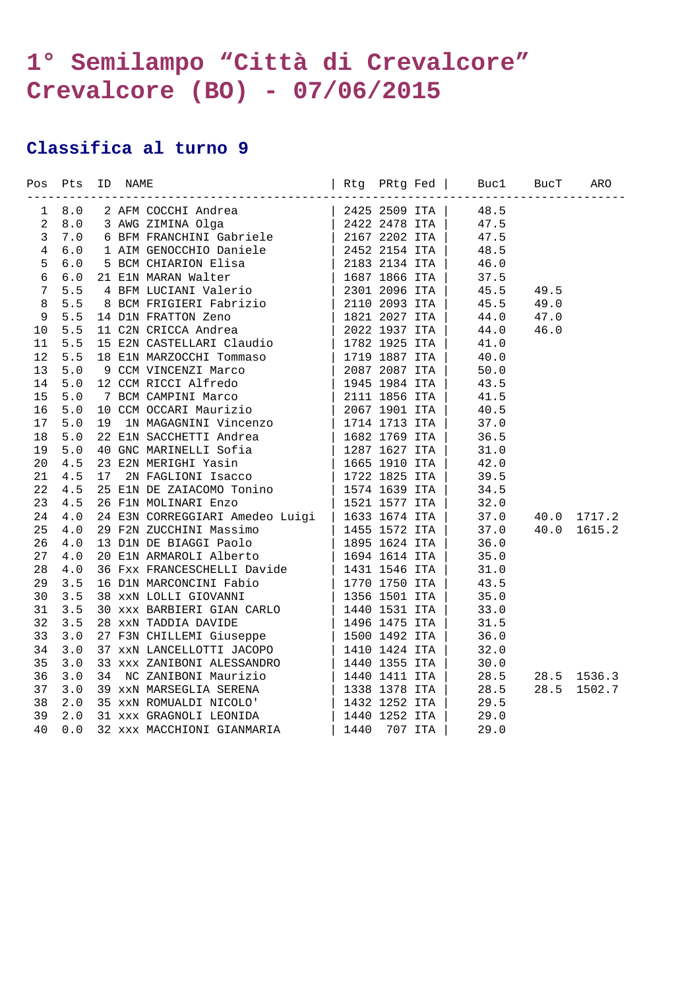## **1° Semilampo "Città di Crevalcore" Crevalcore (BO) - 07/06/2015**

## **Classifica al turno 9**

| Pos Pts ID NAME |  |  |  |  |  |
|-----------------|--|--|--|--|--|
|                 |  |  |  |  |  |
|                 |  |  |  |  |  |
|                 |  |  |  |  |  |
|                 |  |  |  |  |  |
|                 |  |  |  |  |  |
|                 |  |  |  |  |  |
|                 |  |  |  |  |  |
|                 |  |  |  |  |  |
|                 |  |  |  |  |  |
|                 |  |  |  |  |  |
|                 |  |  |  |  |  |
|                 |  |  |  |  |  |
|                 |  |  |  |  |  |
|                 |  |  |  |  |  |
|                 |  |  |  |  |  |
|                 |  |  |  |  |  |
|                 |  |  |  |  |  |
|                 |  |  |  |  |  |
|                 |  |  |  |  |  |
|                 |  |  |  |  |  |
|                 |  |  |  |  |  |
|                 |  |  |  |  |  |
|                 |  |  |  |  |  |
|                 |  |  |  |  |  |
|                 |  |  |  |  |  |
|                 |  |  |  |  |  |
|                 |  |  |  |  |  |
|                 |  |  |  |  |  |
|                 |  |  |  |  |  |
|                 |  |  |  |  |  |
|                 |  |  |  |  |  |
|                 |  |  |  |  |  |
|                 |  |  |  |  |  |
|                 |  |  |  |  |  |
|                 |  |  |  |  |  |
|                 |  |  |  |  |  |
|                 |  |  |  |  |  |
|                 |  |  |  |  |  |
|                 |  |  |  |  |  |
|                 |  |  |  |  |  |